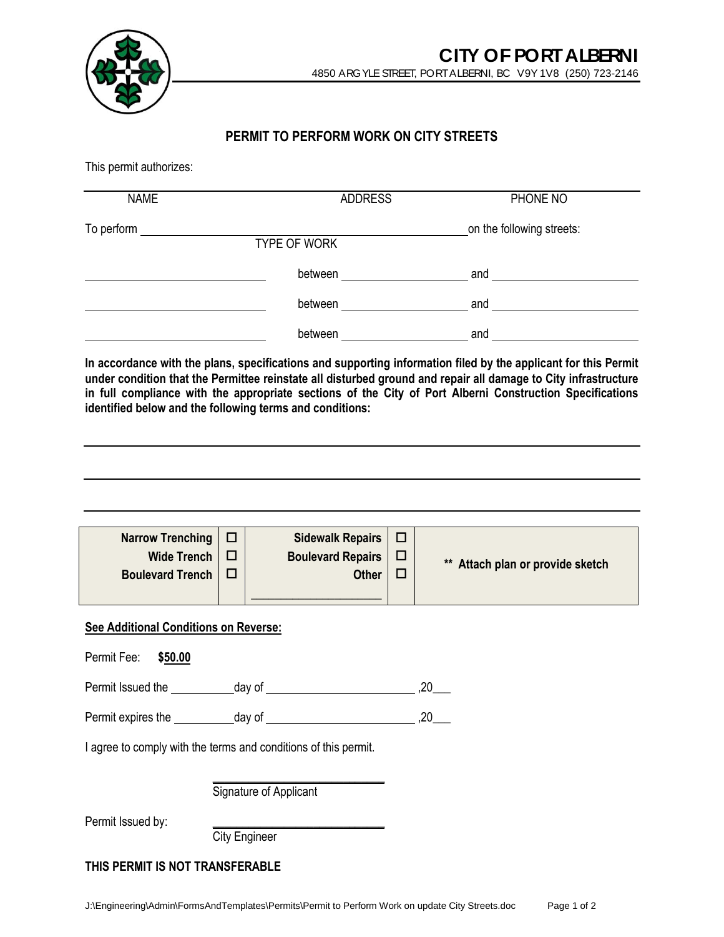

## **PERMIT TO PERFORM WORK ON CITY STREETS**

This permit authorizes:

| <b>NAME</b> | <b>ADDRESS</b> | PHONE NO                  |
|-------------|----------------|---------------------------|
| To perform  | TYPE OF WORK   | on the following streets: |
|             | between        | and                       |
|             | between        | and                       |
|             | between        | and                       |

**In accordance with the plans, specifications and supporting information filed by the applicant for this Permit under condition that the Permittee reinstate all disturbed ground and repair all damage to City infrastructure in full compliance with the appropriate sections of the City of Port Alberni Construction Specifications identified below and the following terms and conditions:**

| Narrow Trenching $\Box$ | Sidewalk Repairs $\Box$  |   |                                  |
|-------------------------|--------------------------|---|----------------------------------|
| Wide Trench             | <b>Boulevard Repairs</b> | □ | ** Attach plan or provide sketch |
| <b>Boulevard Trench</b> | <b>Other</b>             |   |                                  |

**\_\_\_\_\_\_\_\_\_\_\_\_\_\_\_\_\_\_\_\_\_\_**

### **See Additional Conditions on Reverse:**

| Permit Fee:                                                     | \$50.00 |        |  |    |  |  |
|-----------------------------------------------------------------|---------|--------|--|----|--|--|
| Permit Issued the                                               |         | day of |  |    |  |  |
| Permit expires the                                              |         | day of |  | 20 |  |  |
| I agree to comply with the terms and conditions of this permit. |         |        |  |    |  |  |

\_\_\_\_\_\_\_\_\_\_\_\_\_\_\_\_\_\_\_\_\_\_\_\_\_\_\_\_\_ Signature of Applicant

Permit Issued by:

City Engineer

## **THIS PERMIT IS NOT TRANSFERABLE**